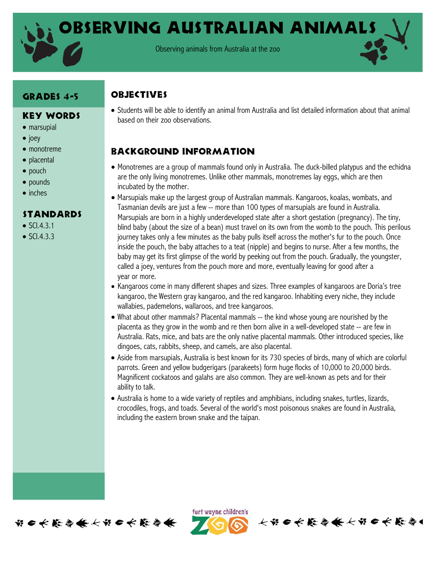

Observing Australian Animals

Observing animals from Australia at the zoo

# GRADES 4-5

#### Key Words

- marsupial
- $\bullet$  joey
- monotreme
- placental
- pouch
- pounds
- inches

#### **STANDARDS**

- $\bullet$  SCI.4.3.1
- $\bullet$  SCI.4.3.3

 Students will be able to identify an animal from Australia and list detailed information about that animal based on their zoo observations.

# Background information

**OBJECTIVES** 

- Monotremes are a group of mammals found only in Australia. The duck-billed platypus and the echidna are the only living monotremes. Unlike other mammals, monotremes lay eggs, which are then incubated by the mother.
- Marsupials make up the largest group of Australian mammals. Kangaroos, koalas, wombats, and Tasmanian devils are just a few -- more than 100 types of marsupials are found in Australia. Marsupials are born in a highly underdeveloped state after a short gestation (pregnancy). The tiny, blind baby (about the size of a bean) must travel on its own from the womb to the pouch. This perilous journey takes only a few minutes as the baby pulls itself across the mother's fur to the pouch. Once inside the pouch, the baby attaches to a teat (nipple) and begins to nurse. After a few months, the baby may get its first glimpse of the world by peeking out from the pouch. Gradually, the youngster, called a joey, ventures from the pouch more and more, eventually leaving for good after a year or more.
- Kangaroos come in many different shapes and sizes. Three examples of kangaroos are Doria's tree kangaroo, the Western gray kangaroo, and the red kangaroo. Inhabiting every niche, they include wallabies, pademelons, wallaroos, and tree kangaroos.
- What about other mammals? Placental mammals -- the kind whose young are nourished by the placenta as they grow in the womb and re then born alive in a well-developed state -- are few in Australia. Rats, mice, and bats are the only native placental mammals. Other introduced species, like dingoes, cats, rabbits, sheep, and camels, are also placental.
- Aside from marsupials, Australia is best known for its 730 species of birds, many of which are colorful parrots. Green and yellow budgerigars (parakeets) form huge flocks of 10,000 to 20,000 birds. Magnificent cockatoos and galahs are also common. They are well-known as pets and for their ability to talk.
- Australia is home to a wide variety of reptiles and amphibians, including snakes, turtles, lizards, crocodiles, frogs, and toads. Several of the world's most poisonous snakes are found in Australia, including the eastern brown snake and the taipan.



fort wayne children's

长节 6 长 能 4 长 长 节 6 长 能 与1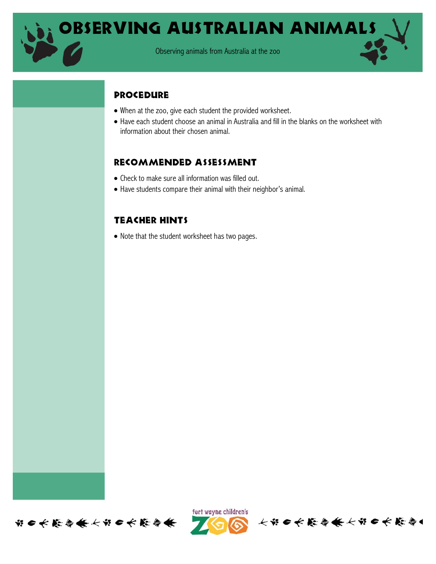

### **PROCEDURE**

- When at the zoo, give each student the provided worksheet.
- Have each student choose an animal in Australia and fill in the blanks on the worksheet with information about their chosen animal.

## Recommended assessment

- Check to make sure all information was filled out.
- Have students compare their animal with their neighbor's animal.

# Teacher hints

• Note that the student worksheet has two pages.





长节日长能与长长节日长能与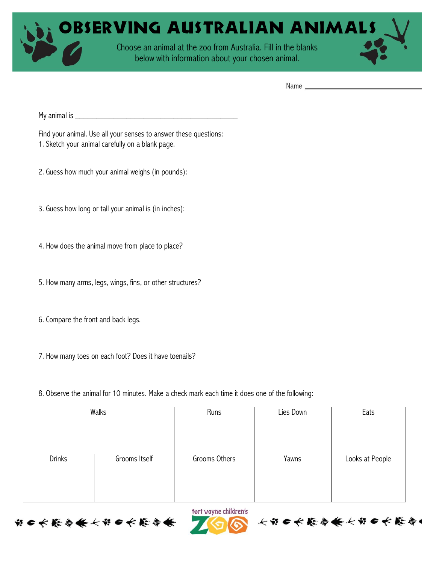

Name

My animal is  $\Box$ 

Find your animal. Use all your senses to answer these questions:

- 1. Sketch your animal carefully on a blank page.
- 2. Guess how much your animal weighs (in pounds):
- 3. Guess how long or tall your animal is (in inches):
- 4. How does the animal move from place to place?
- 5. How many arms, legs, wings, fins, or other structures?
- 6. Compare the front and back legs.

第二大能与长大第二大能与

- 7. How many toes on each foot? Does it have toenails?
- 8. Observe the animal for 10 minutes. Make a check mark each time it does one of the following:

| Walks         |               | Runs          | Lies Down | Eats            |
|---------------|---------------|---------------|-----------|-----------------|
| <b>Drinks</b> | Grooms Itself | Grooms Others | Yawns     | Looks at People |
|               |               |               |           |                 |

fort wayne children's

长节6长能会长长节6长能会